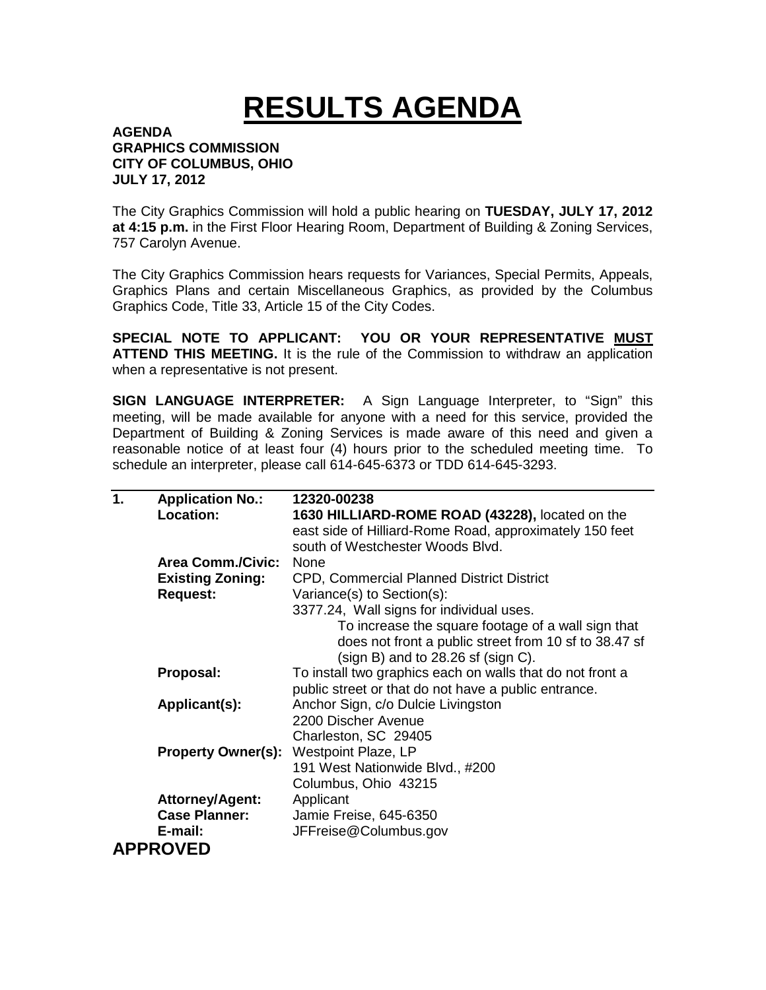## **RESULTS AGENDA**

## **AGENDA GRAPHICS COMMISSION CITY OF COLUMBUS, OHIO JULY 17, 2012**

The City Graphics Commission will hold a public hearing on **TUESDAY, JULY 17, 2012 at 4:15 p.m.** in the First Floor Hearing Room, Department of Building & Zoning Services, 757 Carolyn Avenue.

The City Graphics Commission hears requests for Variances, Special Permits, Appeals, Graphics Plans and certain Miscellaneous Graphics, as provided by the Columbus Graphics Code, Title 33, Article 15 of the City Codes.

**SPECIAL NOTE TO APPLICANT: YOU OR YOUR REPRESENTATIVE MUST ATTEND THIS MEETING.** It is the rule of the Commission to withdraw an application when a representative is not present.

**SIGN LANGUAGE INTERPRETER:** A Sign Language Interpreter, to "Sign" this meeting, will be made available for anyone with a need for this service, provided the Department of Building & Zoning Services is made aware of this need and given a reasonable notice of at least four (4) hours prior to the scheduled meeting time. To schedule an interpreter, please call 614-645-6373 or TDD 614-645-3293.

| 1.              | <b>Application No.:</b>   | 12320-00238                                               |  |  |
|-----------------|---------------------------|-----------------------------------------------------------|--|--|
|                 | Location:                 | 1630 HILLIARD-ROME ROAD (43228), located on the           |  |  |
|                 |                           | east side of Hilliard-Rome Road, approximately 150 feet   |  |  |
|                 |                           | south of Westchester Woods Blvd.                          |  |  |
|                 | <b>Area Comm./Civic:</b>  | <b>None</b>                                               |  |  |
|                 | <b>Existing Zoning:</b>   | CPD, Commercial Planned District District                 |  |  |
|                 | <b>Request:</b>           | Variance(s) to Section(s):                                |  |  |
|                 |                           | 3377.24, Wall signs for individual uses.                  |  |  |
|                 |                           | To increase the square footage of a wall sign that        |  |  |
|                 |                           | does not front a public street from 10 sf to 38.47 sf     |  |  |
|                 |                           | (sign B) and to $28.26$ sf (sign C).                      |  |  |
|                 | Proposal:                 | To install two graphics each on walls that do not front a |  |  |
|                 |                           | public street or that do not have a public entrance.      |  |  |
|                 | Applicant(s):             | Anchor Sign, c/o Dulcie Livingston                        |  |  |
|                 |                           | 2200 Discher Avenue                                       |  |  |
|                 |                           | Charleston, SC 29405                                      |  |  |
|                 | <b>Property Owner(s):</b> | Westpoint Plaze, LP                                       |  |  |
|                 |                           | 191 West Nationwide Blvd., #200                           |  |  |
|                 |                           | Columbus, Ohio 43215                                      |  |  |
|                 | <b>Attorney/Agent:</b>    | Applicant                                                 |  |  |
|                 | <b>Case Planner:</b>      | Jamie Freise, 645-6350                                    |  |  |
|                 | E-mail:                   | JFFreise@Columbus.gov                                     |  |  |
| <b>APPROVED</b> |                           |                                                           |  |  |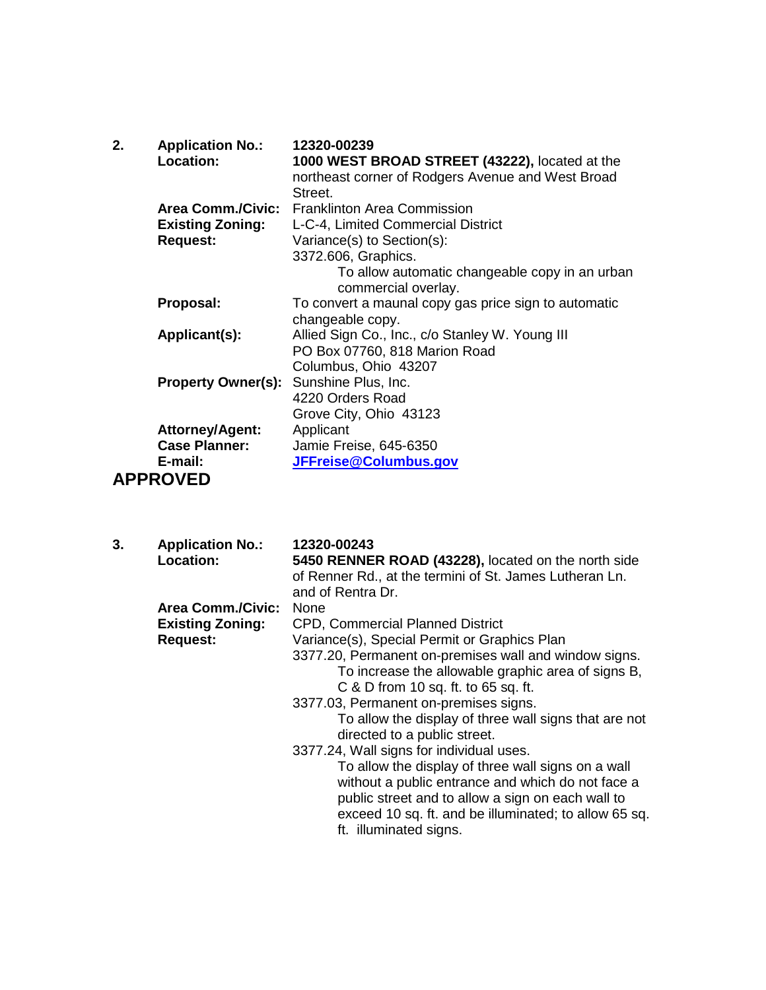| 2. | <b>Application No.:</b><br><b>Location:</b>   | 12320-00239<br>1000 WEST BROAD STREET (43222), located at the<br>northeast corner of Rodgers Avenue and West Broad<br>Street. |
|----|-----------------------------------------------|-------------------------------------------------------------------------------------------------------------------------------|
|    |                                               | Area Comm./Civic: Franklinton Area Commission                                                                                 |
|    | <b>Existing Zoning:</b>                       | L-C-4, Limited Commercial District                                                                                            |
|    | <b>Request:</b>                               | Variance(s) to Section(s):                                                                                                    |
|    |                                               | 3372.606, Graphics.                                                                                                           |
|    |                                               | To allow automatic changeable copy in an urban<br>commercial overlay.                                                         |
|    | Proposal:                                     | To convert a maunal copy gas price sign to automatic                                                                          |
|    |                                               | changeable copy.                                                                                                              |
|    | Applicant(s):                                 | Allied Sign Co., Inc., c/o Stanley W. Young III                                                                               |
|    |                                               | PO Box 07760, 818 Marion Road                                                                                                 |
|    |                                               | Columbus, Ohio 43207                                                                                                          |
|    | <b>Property Owner(s):</b> Sunshine Plus, Inc. |                                                                                                                               |
|    |                                               | 4220 Orders Road                                                                                                              |
|    |                                               | Grove City, Ohio 43123                                                                                                        |
|    | <b>Attorney/Agent:</b>                        | Applicant                                                                                                                     |
|    | <b>Case Planner:</b>                          | Jamie Freise, 645-6350                                                                                                        |
|    | E-mail:                                       | JFFreise@Columbus.gov                                                                                                         |
|    | <b>APPROVED</b>                               |                                                                                                                               |

**3. Application No.: 12320-00243 Location: 5450 RENNER ROAD (43228),** located on the north side of Renner Rd., at the termini of St. James Lutheran Ln. and of Rentra Dr. **Area Comm./Civic:** None **Existing Zoning:** CPD, Commercial Planned District<br> **Request:** Variance(s), Special Permit or Grap Variance(s), Special Permit or Graphics Plan 3377.20, Permanent on-premises wall and window signs. To increase the allowable graphic area of signs B, C & D from 10 sq. ft. to 65 sq. ft. 3377.03, Permanent on-premises signs. To allow the display of three wall signs that are not directed to a public street. 3377.24, Wall signs for individual uses. To allow the display of three wall signs on a wall without a public entrance and which do not face a public street and to allow a sign on each wall to exceed 10 sq. ft. and be illuminated; to allow 65 sq. ft. illuminated signs.